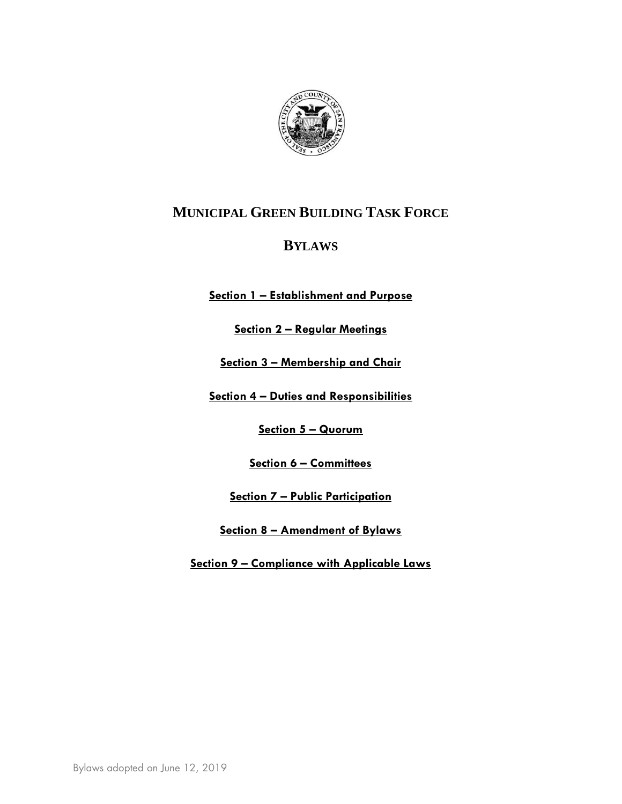

# **MUNICIPAL GREEN BUILDING TASK FORCE**

## **BYLAWS**

**Section 1 – Establishment and Purpose**

**Section 2 – Regular Meetings**

**Section 3 – Membership and Chair**

**Section 4 – Duties and Responsibilities**

**Section 5 – Quorum**

**Section 6 – Committees**

**Section 7 – Public Participation**

**Section 8 – Amendment of Bylaws**

**Section 9 – Compliance with Applicable Laws**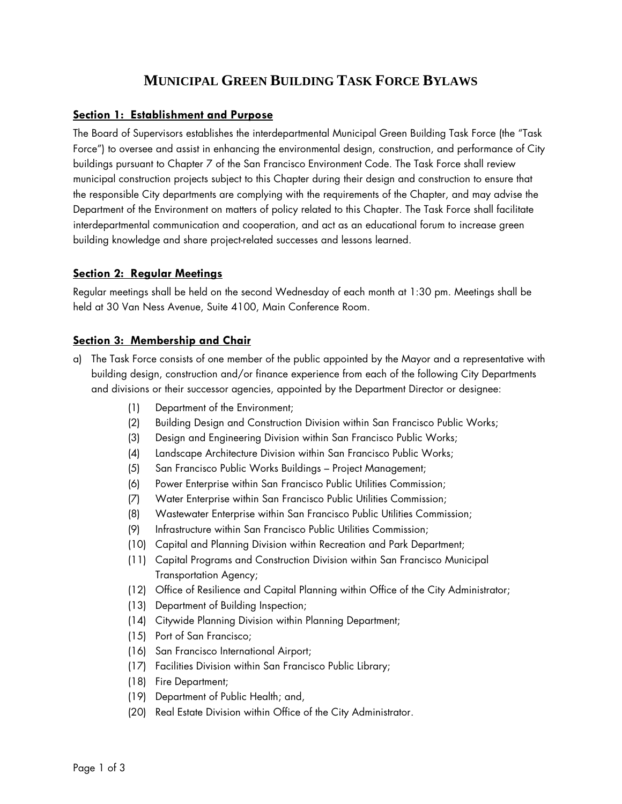# **MUNICIPAL GREEN BUILDING TASK FORCE BYLAWS**

#### **Section 1: Establishment and Purpose**

The Board of Supervisors establishes the interdepartmental Municipal Green Building Task Force (the "Task Force") to oversee and assist in enhancing the environmental design, construction, and performance of City buildings pursuant to Chapter 7 of the San Francisco Environment Code. The Task Force shall review municipal construction projects subject to this Chapter during their design and construction to ensure that the responsible City departments are complying with the requirements of the Chapter, and may advise the Department of the Environment on matters of policy related to this Chapter. The Task Force shall facilitate interdepartmental communication and cooperation, and act as an educational forum to increase green building knowledge and share project-related successes and lessons learned.

#### **Section 2: Regular Meetings**

Regular meetings shall be held on the second Wednesday of each month at 1:30 pm. Meetings shall be held at 30 Van Ness Avenue, Suite 4100, Main Conference Room.

#### **Section 3: Membership and Chair**

- a) The Task Force consists of one member of the public appointed by the Mayor and a representative with building design, construction and/or finance experience from each of the following City Departments and divisions or their successor agencies, appointed by the Department Director or designee:
	- (1) Department of the Environment;
	- (2) Building Design and Construction Division within San Francisco Public Works;
	- (3) Design and Engineering Division within San Francisco Public Works;
	- (4) Landscape Architecture Division within San Francisco Public Works;
	- (5) San Francisco Public Works Buildings Project Management;
	- (6) Power Enterprise within San Francisco Public Utilities Commission;
	- (7) Water Enterprise within San Francisco Public Utilities Commission;
	- (8) Wastewater Enterprise within San Francisco Public Utilities Commission;
	- (9) Infrastructure within San Francisco Public Utilities Commission;
	- (10) Capital and Planning Division within Recreation and Park Department;
	- (11) Capital Programs and Construction Division within San Francisco Municipal Transportation Agency;
	- (12) Office of Resilience and Capital Planning within Office of the City Administrator;
	- (13) Department of Building Inspection;
	- (14) Citywide Planning Division within Planning Department;
	- (15) Port of San Francisco;
	- (16) San Francisco International Airport;
	- (17) Facilities Division within San Francisco Public Library;
	- (18) Fire Department;
	- (19) Department of Public Health; and,
	- (20) Real Estate Division within Office of the City Administrator.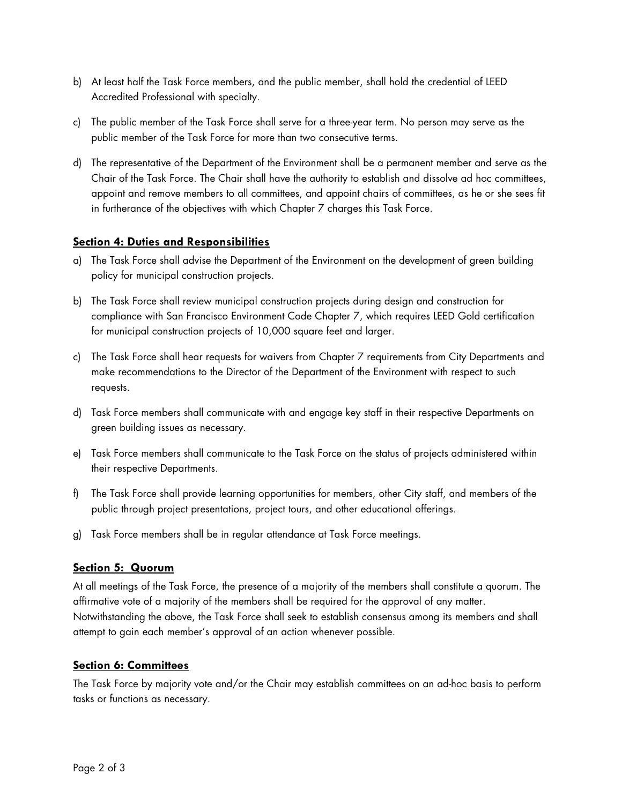- b) At least half the Task Force members, and the public member, shall hold the credential of LEED Accredited Professional with specialty.
- c) The public member of the Task Force shall serve for a three-year term. No person may serve as the public member of the Task Force for more than two consecutive terms.
- d) The representative of the Department of the Environment shall be a permanent member and serve as the Chair of the Task Force. The Chair shall have the authority to establish and dissolve ad hoc committees, appoint and remove members to all committees, and appoint chairs of committees, as he or she sees fit in furtherance of the objectives with which Chapter 7 charges this Task Force.

#### **Section 4: Duties and Responsibilities**

- a) The Task Force shall advise the Department of the Environment on the development of green building policy for municipal construction projects.
- b) The Task Force shall review municipal construction projects during design and construction for compliance with San Francisco Environment Code Chapter 7, which requires LEED Gold certification for municipal construction projects of 10,000 square feet and larger.
- c) The Task Force shall hear requests for waivers from Chapter 7 requirements from City Departments and make recommendations to the Director of the Department of the Environment with respect to such requests.
- d) Task Force members shall communicate with and engage key staff in their respective Departments on green building issues as necessary.
- e) Task Force members shall communicate to the Task Force on the status of projects administered within their respective Departments.
- f) The Task Force shall provide learning opportunities for members, other City staff, and members of the public through project presentations, project tours, and other educational offerings.
- g) Task Force members shall be in regular attendance at Task Force meetings.

## **Section 5: Quorum**

At all meetings of the Task Force, the presence of a majority of the members shall constitute a quorum. The affirmative vote of a majority of the members shall be required for the approval of any matter. Notwithstanding the above, the Task Force shall seek to establish consensus among its members and shall attempt to gain each member's approval of an action whenever possible.

#### **Section 6: Committees**

The Task Force by majority vote and/or the Chair may establish committees on an ad-hoc basis to perform tasks or functions as necessary.